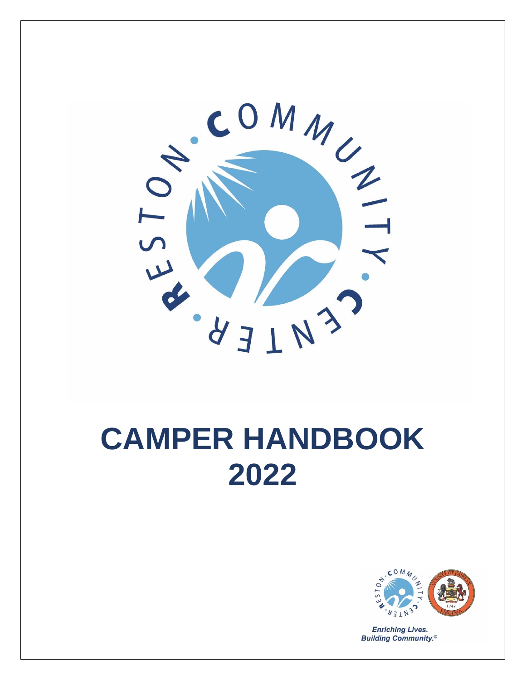

# **CAMPER HANDBOOK 2022**



**Enriching Lives. Building Community.<sup>®</sup>**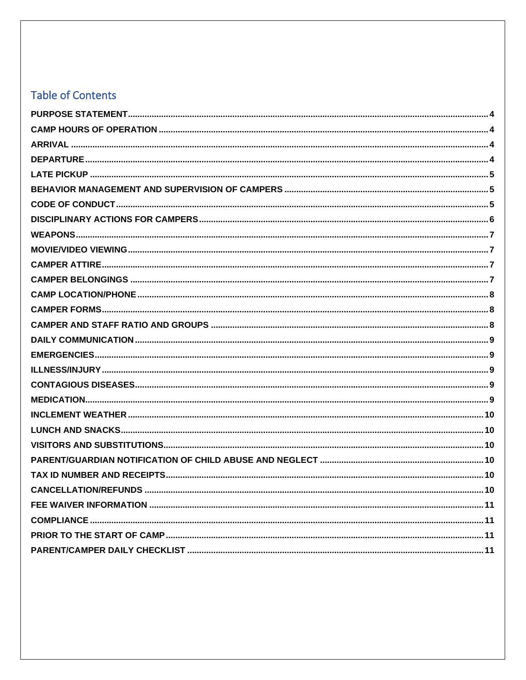# **Table of Contents**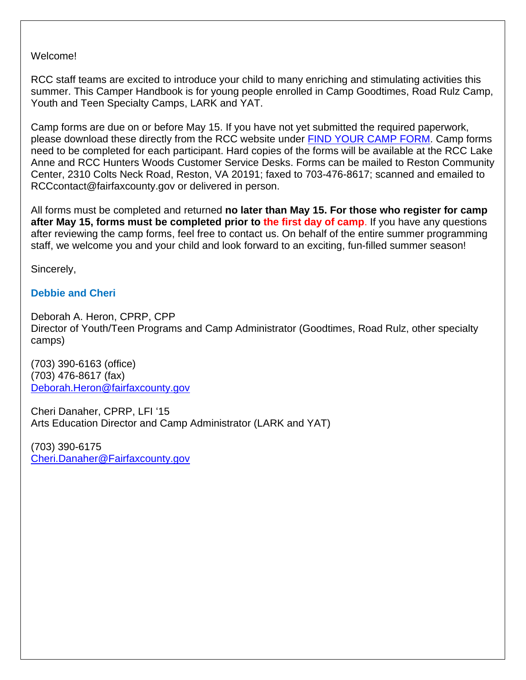Welcome!

RCC staff teams are excited to introduce your child to many enriching and stimulating activities this summer. This Camper Handbook is for young people enrolled in Camp Goodtimes, Road Rulz Camp, Youth and Teen Specialty Camps, LARK and YAT.

Camp forms are due on or before May 15. If you have not yet submitted the required paperwork, please download these directly from the RCC website under [FIND YOUR CAMP FORM.](https://www.restoncommunitycenter.com/register-for-classes-activities/summer-camps/find-your-camp-form) Camp forms need to be completed for each participant. Hard copies of the forms will be available at the RCC Lake Anne and RCC Hunters Woods Customer Service Desks. Forms can be mailed to Reston Community Center, 2310 Colts Neck Road, Reston, VA 20191; faxed to 703-476-8617; scanned and emailed to RCCcontact@fairfaxcounty.gov or delivered in person.

All forms must be completed and returned **no later than May 15. For those who register for camp after May 15, forms must be completed prior to the first day of camp**. If you have any questions after reviewing the camp forms, feel free to contact us. On behalf of the entire summer programming staff, we welcome you and your child and look forward to an exciting, fun-filled summer season!

Sincerely,

# **Debbie and Cheri**

Deborah A. Heron, CPRP, CPP Director of Youth/Teen Programs and Camp Administrator (Goodtimes, Road Rulz, other specialty camps)

(703) 390-6163 (office) (703) 476-8617 (fax) [Deborah.Heron@fairfaxcounty.gov](mailto:Deborah.Heron@fairfaxcounty.gov)

Cheri Danaher, CPRP, LFI '15 Arts Education Director and Camp Administrator (LARK and YAT)

(703) 390-6175 [Cheri.Danaher@Fairfaxcounty.gov](file:///C:/Users/lgordo/AppData/Local/Microsoft/Windows/INetCache/Content.Outlook/L4BN3WYA/Cheri.Danaher@Fairfaxcounty.gov)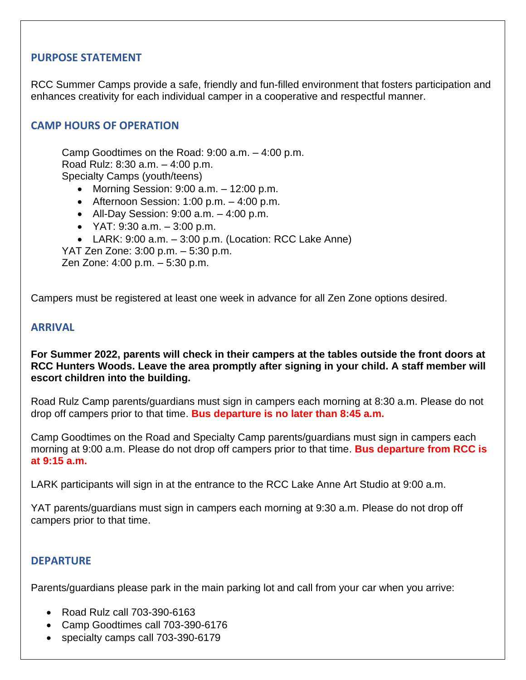#### <span id="page-3-0"></span>**PURPOSE STATEMENT**

RCC Summer Camps provide a safe, friendly and fun-filled environment that fosters participation and enhances creativity for each individual camper in a cooperative and respectful manner.

### <span id="page-3-1"></span>**CAMP HOURS OF OPERATION**

Camp Goodtimes on the Road: 9:00 a.m. – 4:00 p.m. Road Rulz: 8:30 a.m. – 4:00 p.m. Specialty Camps (youth/teens)

- Morning Session:  $9:00$  a.m.  $-12:00$  p.m.
- Afternoon Session:  $1:00$  p.m.  $-4:00$  p.m.
- All-Day Session:  $9:00$  a.m.  $-4:00$  p.m.
- $YAT: 9:30$  a.m.  $-3:00$  p.m.
- LARK:  $9:00$  a.m.  $-3:00$  p.m. (Location: RCC Lake Anne)

YAT Zen Zone: 3:00 p.m. – 5:30 p.m.

Zen Zone: 4:00 p.m. – 5:30 p.m.

<span id="page-3-2"></span>Campers must be registered at least one week in advance for all Zen Zone options desired.

#### **ARRIVAL**

**For Summer 2022, parents will check in their campers at the tables outside the front doors at RCC Hunters Woods. Leave the area promptly after signing in your child. A staff member will escort children into the building.**

Road Rulz Camp parents/guardians must sign in campers each morning at 8:30 a.m. Please do not drop off campers prior to that time. **Bus departure is no later than 8:45 a.m.**

Camp Goodtimes on the Road and Specialty Camp parents/guardians must sign in campers each morning at 9:00 a.m. Please do not drop off campers prior to that time. **Bus departure from RCC is at 9:15 a.m.**

LARK participants will sign in at the entrance to the RCC Lake Anne Art Studio at 9:00 a.m.

YAT parents/guardians must sign in campers each morning at 9:30 a.m. Please do not drop off campers prior to that time.

#### <span id="page-3-3"></span>**DEPARTURE**

Parents/guardians please park in the main parking lot and call from your car when you arrive:

- Road Rulz call 703-390-6163
- Camp Goodtimes call 703-390-6176
- specialty camps call 703-390-6179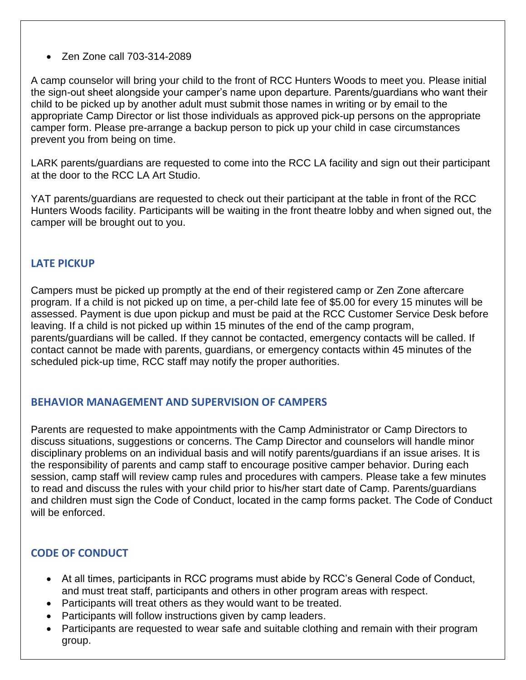### • Zen Zone call 703-314-2089

A camp counselor will bring your child to the front of RCC Hunters Woods to meet you. Please initial the sign-out sheet alongside your camper's name upon departure. Parents/guardians who want their child to be picked up by another adult must submit those names in writing or by email to the appropriate Camp Director or list those individuals as approved pick-up persons on the appropriate camper form. Please pre-arrange a backup person to pick up your child in case circumstances prevent you from being on time.

LARK parents/guardians are requested to come into the RCC LA facility and sign out their participant at the door to the RCC LA Art Studio.

YAT parents/guardians are requested to check out their participant at the table in front of the RCC Hunters Woods facility. Participants will be waiting in the front theatre lobby and when signed out, the camper will be brought out to you.

# <span id="page-4-0"></span>**LATE PICKUP**

Campers must be picked up promptly at the end of their registered camp or Zen Zone aftercare program. If a child is not picked up on time, a per-child late fee of \$5.00 for every 15 minutes will be assessed. Payment is due upon pickup and must be paid at the RCC Customer Service Desk before leaving. If a child is not picked up within 15 minutes of the end of the camp program, parents/guardians will be called. If they cannot be contacted, emergency contacts will be called. If contact cannot be made with parents, guardians, or emergency contacts within 45 minutes of the scheduled pick-up time, RCC staff may notify the proper authorities.

# <span id="page-4-1"></span>**BEHAVIOR MANAGEMENT AND SUPERVISION OF CAMPERS**

Parents are requested to make appointments with the Camp Administrator or Camp Directors to discuss situations, suggestions or concerns. The Camp Director and counselors will handle minor disciplinary problems on an individual basis and will notify parents/guardians if an issue arises. It is the responsibility of parents and camp staff to encourage positive camper behavior. During each session, camp staff will review camp rules and procedures with campers. Please take a few minutes to read and discuss the rules with your child prior to his/her start date of Camp. Parents/guardians and children must sign the Code of Conduct, located in the camp forms packet. The Code of Conduct will be enforced.

### <span id="page-4-2"></span>**CODE OF CONDUCT**

- At all times, participants in RCC programs must abide by RCC's General Code of Conduct, and must treat staff, participants and others in other program areas with respect.
- Participants will treat others as they would want to be treated.
- Participants will follow instructions given by camp leaders.
- Participants are requested to wear safe and suitable clothing and remain with their program group.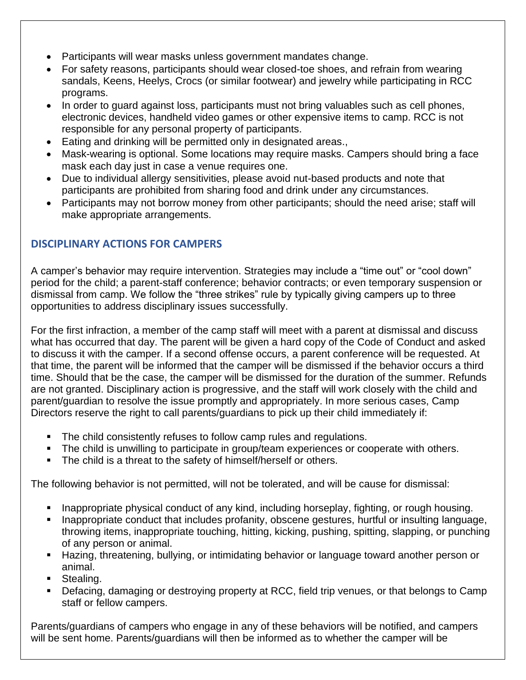- Participants will wear masks unless government mandates change.
- For safety reasons, participants should wear closed-toe shoes, and refrain from wearing sandals, Keens, Heelys, Crocs (or similar footwear) and jewelry while participating in RCC programs.
- In order to quard against loss, participants must not bring valuables such as cell phones, electronic devices, handheld video games or other expensive items to camp. RCC is not responsible for any personal property of participants.
- Eating and drinking will be permitted only in designated areas.,
- Mask-wearing is optional. Some locations may require masks. Campers should bring a face mask each day just in case a venue requires one.
- Due to individual allergy sensitivities, please avoid nut-based products and note that participants are prohibited from sharing food and drink under any circumstances.
- Participants may not borrow money from other participants; should the need arise; staff will make appropriate arrangements.

# <span id="page-5-0"></span>**DISCIPLINARY ACTIONS FOR CAMPERS**

A camper's behavior may require intervention. Strategies may include a "time out" or "cool down" period for the child; a parent-staff conference; behavior contracts; or even temporary suspension or dismissal from camp. We follow the "three strikes" rule by typically giving campers up to three opportunities to address disciplinary issues successfully.

For the first infraction, a member of the camp staff will meet with a parent at dismissal and discuss what has occurred that day. The parent will be given a hard copy of the Code of Conduct and asked to discuss it with the camper. If a second offense occurs, a parent conference will be requested. At that time, the parent will be informed that the camper will be dismissed if the behavior occurs a third time. Should that be the case, the camper will be dismissed for the duration of the summer. Refunds are not granted. Disciplinary action is progressive, and the staff will work closely with the child and parent/guardian to resolve the issue promptly and appropriately. In more serious cases, Camp Directors reserve the right to call parents/guardians to pick up their child immediately if:

- The child consistently refuses to follow camp rules and regulations.
- **The child is unwilling to participate in group/team experiences or cooperate with others.**
- The child is a threat to the safety of himself/herself or others.

The following behavior is not permitted, will not be tolerated, and will be cause for dismissal:

- Inappropriate physical conduct of any kind, including horseplay, fighting, or rough housing.
- Inappropriate conduct that includes profanity, obscene gestures, hurtful or insulting language, throwing items, inappropriate touching, hitting, kicking, pushing, spitting, slapping, or punching of any person or animal.
- Hazing, threatening, bullying, or intimidating behavior or language toward another person or animal.
- Stealing.
- Defacing, damaging or destroying property at RCC, field trip venues, or that belongs to Camp staff or fellow campers.

Parents/guardians of campers who engage in any of these behaviors will be notified, and campers will be sent home. Parents/guardians will then be informed as to whether the camper will be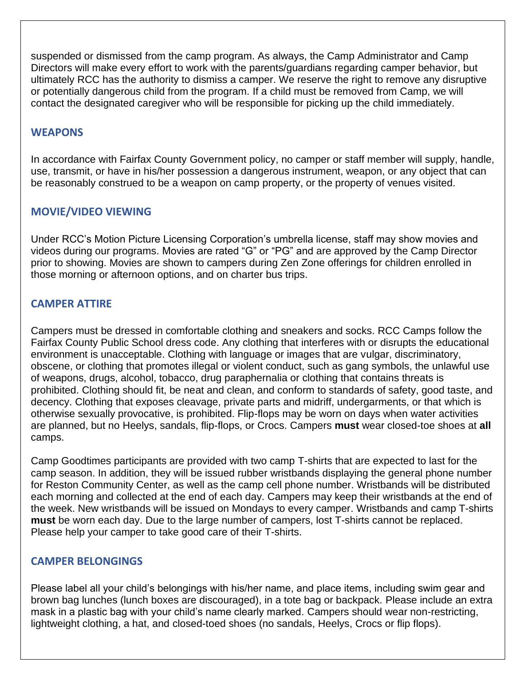suspended or dismissed from the camp program. As always, the Camp Administrator and Camp Directors will make every effort to work with the parents/guardians regarding camper behavior, but ultimately RCC has the authority to dismiss a camper. We reserve the right to remove any disruptive or potentially dangerous child from the program. If a child must be removed from Camp, we will contact the designated caregiver who will be responsible for picking up the child immediately.

#### <span id="page-6-0"></span>**WEAPONS**

In accordance with Fairfax County Government policy, no camper or staff member will supply, handle, use, transmit, or have in his/her possession a dangerous instrument, weapon, or any object that can be reasonably construed to be a weapon on camp property, or the property of venues visited.

# <span id="page-6-1"></span>**MOVIE/VIDEO VIEWING**

Under RCC's Motion Picture Licensing Corporation's umbrella license, staff may show movies and videos during our programs. Movies are rated "G" or "PG" and are approved by the Camp Director prior to showing. Movies are shown to campers during Zen Zone offerings for children enrolled in those morning or afternoon options, and on charter bus trips.

# <span id="page-6-2"></span>**CAMPER ATTIRE**

Campers must be dressed in comfortable clothing and sneakers and socks. RCC Camps follow the Fairfax County Public School dress code. Any clothing that interferes with or disrupts the educational environment is unacceptable. Clothing with language or images that are vulgar, discriminatory, obscene, or clothing that promotes illegal or violent conduct, such as gang symbols, the unlawful use of weapons, drugs, alcohol, tobacco, drug paraphernalia or clothing that contains threats is prohibited. Clothing should fit, be neat and clean, and conform to standards of safety, good taste, and decency. Clothing that exposes cleavage, private parts and midriff, undergarments, or that which is otherwise sexually provocative, is prohibited. Flip-flops may be worn on days when water activities are planned, but no Heelys, sandals, flip-flops, or Crocs. Campers **must** wear closed-toe shoes at **all** camps.

Camp Goodtimes participants are provided with two camp T-shirts that are expected to last for the camp season. In addition, they will be issued rubber wristbands displaying the general phone number for Reston Community Center, as well as the camp cell phone number. Wristbands will be distributed each morning and collected at the end of each day. Campers may keep their wristbands at the end of the week. New wristbands will be issued on Mondays to every camper. Wristbands and camp T-shirts **must** be worn each day. Due to the large number of campers, lost T-shirts cannot be replaced. Please help your camper to take good care of their T-shirts.

### <span id="page-6-3"></span>**CAMPER BELONGINGS**

Please label all your child's belongings with his/her name, and place items, including swim gear and brown bag lunches (lunch boxes are discouraged), in a tote bag or backpack. Please include an extra mask in a plastic bag with your child's name clearly marked. Campers should wear non-restricting, lightweight clothing, a hat, and closed-toed shoes (no sandals, Heelys, Crocs or flip flops).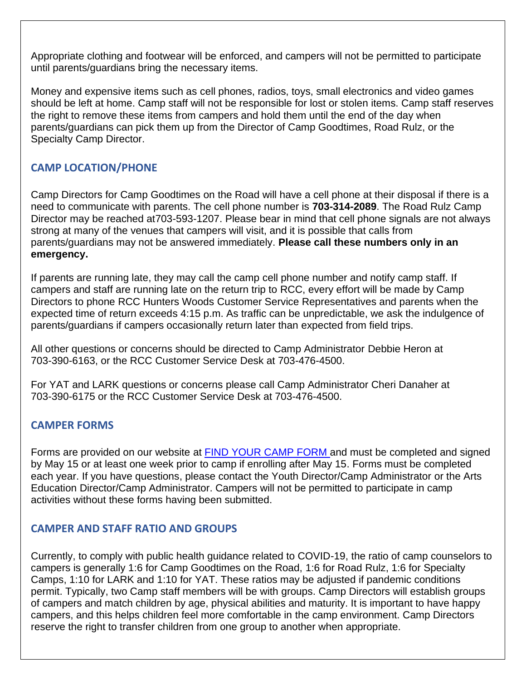Appropriate clothing and footwear will be enforced, and campers will not be permitted to participate until parents/guardians bring the necessary items.

Money and expensive items such as cell phones, radios, toys, small electronics and video games should be left at home. Camp staff will not be responsible for lost or stolen items. Camp staff reserves the right to remove these items from campers and hold them until the end of the day when parents/guardians can pick them up from the Director of Camp Goodtimes, Road Rulz, or the Specialty Camp Director.

# <span id="page-7-0"></span>**CAMP LOCATION/PHONE**

Camp Directors for Camp Goodtimes on the Road will have a cell phone at their disposal if there is a need to communicate with parents. The cell phone number is **703-314-2089**. The Road Rulz Camp Director may be reached at703-593-1207. Please bear in mind that cell phone signals are not always strong at many of the venues that campers will visit, and it is possible that calls from parents/guardians may not be answered immediately. **Please call these numbers only in an emergency.**

If parents are running late, they may call the camp cell phone number and notify camp staff. If campers and staff are running late on the return trip to RCC, every effort will be made by Camp Directors to phone RCC Hunters Woods Customer Service Representatives and parents when the expected time of return exceeds 4:15 p.m. As traffic can be unpredictable, we ask the indulgence of parents/guardians if campers occasionally return later than expected from field trips.

All other questions or concerns should be directed to Camp Administrator Debbie Heron at 703-390-6163, or the RCC Customer Service Desk at 703-476-4500.

For YAT and LARK questions or concerns please call Camp Administrator Cheri Danaher at 703-390-6175 or the RCC Customer Service Desk at 703-476-4500.

# <span id="page-7-1"></span>**CAMPER FORMS**

Forms are provided on our website at [FIND YOUR CAMP FORM a](https://www.restoncommunitycenter.com/register-for-classes-activities/summer-camps/find-your-camp-form)nd must be completed and signed by May 15 or at least one week prior to camp if enrolling after May 15. Forms must be completed each year. If you have questions, please contact the Youth Director/Camp Administrator or the Arts Education Director/Camp Administrator. Campers will not be permitted to participate in camp activities without these forms having been submitted.

### <span id="page-7-2"></span>**CAMPER AND STAFF RATIO AND GROUPS**

Currently, to comply with public health guidance related to COVID-19, the ratio of camp counselors to campers is generally 1:6 for Camp Goodtimes on the Road, 1:6 for Road Rulz, 1:6 for Specialty Camps, 1:10 for LARK and 1:10 for YAT. These ratios may be adjusted if pandemic conditions permit. Typically, two Camp staff members will be with groups. Camp Directors will establish groups of campers and match children by age, physical abilities and maturity. It is important to have happy campers, and this helps children feel more comfortable in the camp environment. Camp Directors reserve the right to transfer children from one group to another when appropriate.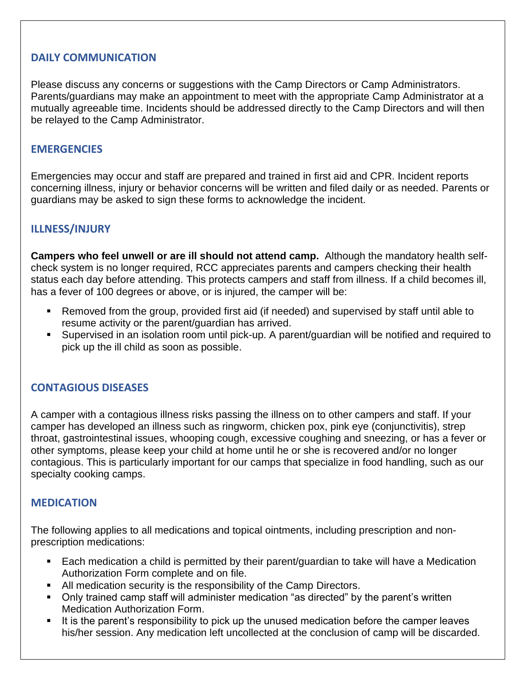### <span id="page-8-0"></span>**DAILY COMMUNICATION**

Please discuss any concerns or suggestions with the Camp Directors or Camp Administrators. Parents/guardians may make an appointment to meet with the appropriate Camp Administrator at a mutually agreeable time. Incidents should be addressed directly to the Camp Directors and will then be relayed to the Camp Administrator.

#### <span id="page-8-1"></span>**EMERGENCIES**

Emergencies may occur and staff are prepared and trained in first aid and CPR. Incident reports concerning illness, injury or behavior concerns will be written and filed daily or as needed. Parents or guardians may be asked to sign these forms to acknowledge the incident.

# <span id="page-8-2"></span>**ILLNESS/INJURY**

**Campers who feel unwell or are ill should not attend camp.** Although the mandatory health selfcheck system is no longer required, RCC appreciates parents and campers checking their health status each day before attending. This protects campers and staff from illness. If a child becomes ill, has a fever of 100 degrees or above, or is injured, the camper will be:

- Removed from the group, provided first aid (if needed) and supervised by staff until able to resume activity or the parent/guardian has arrived.
- Supervised in an isolation room until pick-up. A parent/guardian will be notified and required to pick up the ill child as soon as possible.

#### <span id="page-8-3"></span>**CONTAGIOUS DISEASES**

A camper with a contagious illness risks passing the illness on to other campers and staff. If your camper has developed an illness such as ringworm, chicken pox, pink eye (conjunctivitis), strep throat, gastrointestinal issues, whooping cough, excessive coughing and sneezing, or has a fever or other symptoms, please keep your child at home until he or she is recovered and/or no longer contagious. This is particularly important for our camps that specialize in food handling, such as our specialty cooking camps.

#### <span id="page-8-4"></span>**MEDICATION**

The following applies to all medications and topical ointments, including prescription and nonprescription medications:

- Each medication a child is permitted by their parent/guardian to take will have a Medication Authorization Form complete and on file.
- All medication security is the responsibility of the Camp Directors.
- Only trained camp staff will administer medication "as directed" by the parent's written Medication Authorization Form.
- It is the parent's responsibility to pick up the unused medication before the camper leaves his/her session. Any medication left uncollected at the conclusion of camp will be discarded.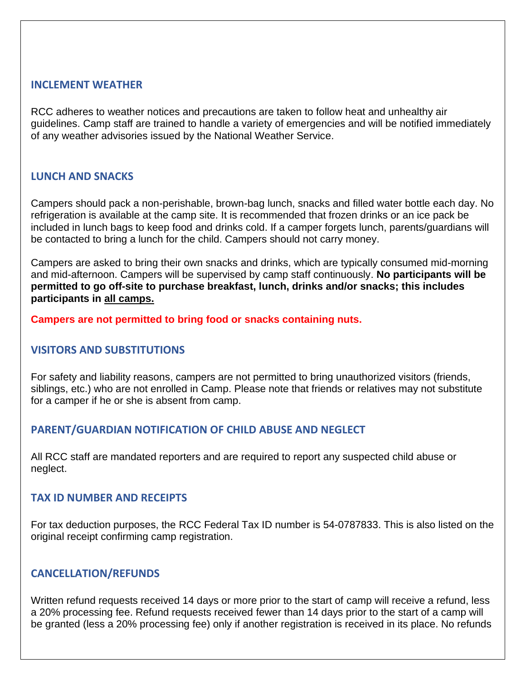#### <span id="page-9-0"></span>**INCLEMENT WEATHER**

RCC adheres to weather notices and precautions are taken to follow heat and unhealthy air guidelines. Camp staff are trained to handle a variety of emergencies and will be notified immediately of any weather advisories issued by the National Weather Service.

#### <span id="page-9-1"></span>**LUNCH AND SNACKS**

Campers should pack a non-perishable, brown-bag lunch, snacks and filled water bottle each day. No refrigeration is available at the camp site. It is recommended that frozen drinks or an ice pack be included in lunch bags to keep food and drinks cold. If a camper forgets lunch, parents/guardians will be contacted to bring a lunch for the child. Campers should not carry money.

Campers are asked to bring their own snacks and drinks, which are typically consumed mid-morning and mid-afternoon. Campers will be supervised by camp staff continuously. **No participants will be permitted to go off-site to purchase breakfast, lunch, drinks and/or snacks; this includes participants in all camps.**

<span id="page-9-2"></span>**Campers are not permitted to bring food or snacks containing nuts.**

### **VISITORS AND SUBSTITUTIONS**

For safety and liability reasons, campers are not permitted to bring unauthorized visitors (friends, siblings, etc.) who are not enrolled in Camp. Please note that friends or relatives may not substitute for a camper if he or she is absent from camp.

### <span id="page-9-3"></span>**PARENT/GUARDIAN NOTIFICATION OF CHILD ABUSE AND NEGLECT**

All RCC staff are mandated reporters and are required to report any suspected child abuse or neglect.

#### <span id="page-9-4"></span>**TAX ID NUMBER AND RECEIPTS**

For tax deduction purposes, the RCC Federal Tax ID number is 54-0787833. This is also listed on the original receipt confirming camp registration.

#### <span id="page-9-5"></span>**CANCELLATION/REFUNDS**

Written refund requests received 14 days or more prior to the start of camp will receive a refund, less a 20% processing fee. Refund requests received fewer than 14 days prior to the start of a camp will be granted (less a 20% processing fee) only if another registration is received in its place. No refunds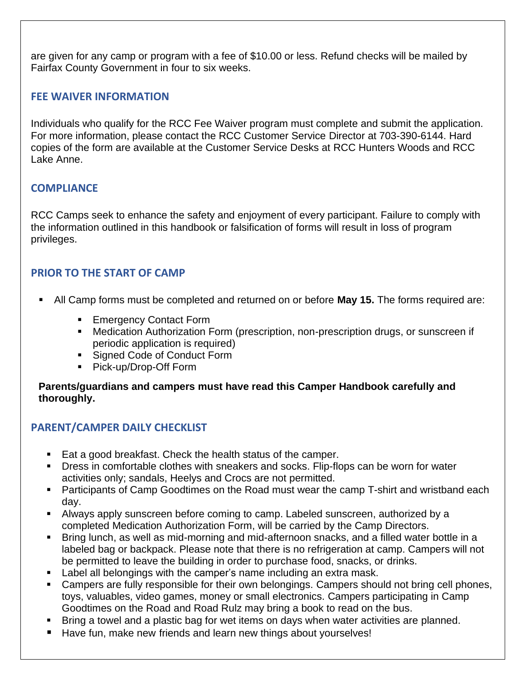are given for any camp or program with a fee of \$10.00 or less. Refund checks will be mailed by Fairfax County Government in four to six weeks.

# <span id="page-10-0"></span>**FEE WAIVER INFORMATION**

Individuals who qualify for the RCC Fee Waiver program must complete and submit the application. For more information, please contact the RCC Customer Service Director at 703-390-6144. Hard copies of the form are available at the Customer Service Desks at RCC Hunters Woods and RCC Lake Anne.

### <span id="page-10-1"></span>**COMPLIANCE**

RCC Camps seek to enhance the safety and enjoyment of every participant. Failure to comply with the information outlined in this handbook or falsification of forms will result in loss of program privileges.

# <span id="page-10-2"></span>**PRIOR TO THE START OF CAMP**

- All Camp forms must be completed and returned on or before **May 15.** The forms required are:
	- Emergency Contact Form
	- Medication Authorization Form (prescription, non-prescription drugs, or sunscreen if periodic application is required)
	- **Example 2** Signed Code of Conduct Form
	- Pick-up/Drop-Off Form

**Parents/guardians and campers must have read this Camper Handbook carefully and thoroughly.**

### <span id="page-10-3"></span>**PARENT/CAMPER DAILY CHECKLIST**

- Eat a good breakfast. Check the health status of the camper.
- Dress in comfortable clothes with sneakers and socks. Flip-flops can be worn for water activities only; sandals, Heelys and Crocs are not permitted.
- Participants of Camp Goodtimes on the Road must wear the camp T-shirt and wristband each day.
- **EXED Always apply sunscreen before coming to camp. Labeled sunscreen, authorized by a** completed Medication Authorization Form, will be carried by the Camp Directors.
- Bring lunch, as well as mid-morning and mid-afternoon snacks, and a filled water bottle in a labeled bag or backpack. Please note that there is no refrigeration at camp. Campers will not be permitted to leave the building in order to purchase food, snacks, or drinks.
- Label all belongings with the camper's name including an extra mask.
- Campers are fully responsible for their own belongings. Campers should not bring cell phones, toys, valuables, video games, money or small electronics. Campers participating in Camp Goodtimes on the Road and Road Rulz may bring a book to read on the bus.
- Bring a towel and a plastic bag for wet items on days when water activities are planned.
- Have fun, make new friends and learn new things about yourselves!